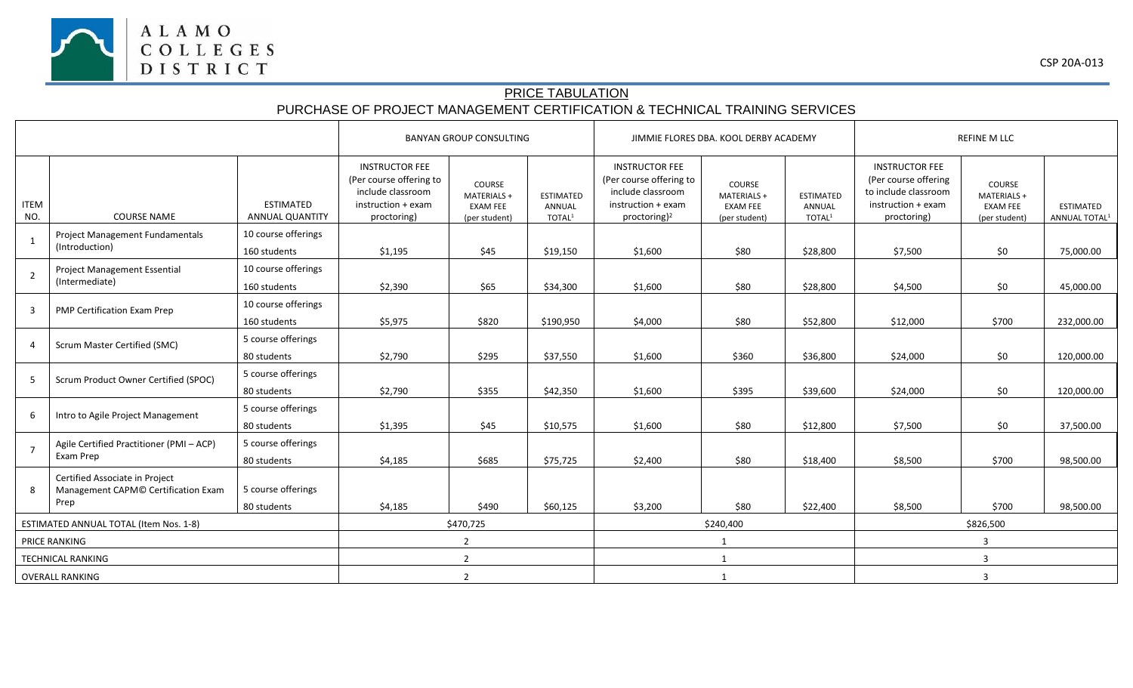

## PRICE TABULATION PURCHASE OF PROJECT MANAGEMENT CERTIFICATION & TECHNICAL TRAINING SERVICES

|                                        |                                                                               |                                     | <b>BANYAN GROUP CONSULTING</b>                                                                             |                                                           |                                                  |                                                                                                                         | JIMMIE FLORES DBA. KOOL DERBY ACADEMY                     |                                                               | <b>REFINE M LLC</b>                                                                                        |                                                           |                                               |
|----------------------------------------|-------------------------------------------------------------------------------|-------------------------------------|------------------------------------------------------------------------------------------------------------|-----------------------------------------------------------|--------------------------------------------------|-------------------------------------------------------------------------------------------------------------------------|-----------------------------------------------------------|---------------------------------------------------------------|------------------------------------------------------------------------------------------------------------|-----------------------------------------------------------|-----------------------------------------------|
| <b>ITEM</b><br>NO.                     | <b>COURSE NAME</b>                                                            | <b>ESTIMATED</b><br>ANNUAL QUANTITY | <b>INSTRUCTOR FEE</b><br>(Per course offering to<br>include classroom<br>instruction + exam<br>proctoring) | COURSE<br>MATERIALS +<br><b>EXAM FEE</b><br>(per student) | <b>ESTIMATED</b><br>ANNUAL<br>TOTAL <sup>1</sup> | <b>INSTRUCTOR FEE</b><br>(Per course offering to<br>include classroom<br>instruction + exam<br>proctoring) <sup>2</sup> | COURSE<br>MATERIALS +<br><b>EXAM FEE</b><br>(per student) | <b>ESTIMATED</b><br>ANNUAL<br>$\ensuremath{\mathsf{TOTAL}^1}$ | <b>INSTRUCTOR FEE</b><br>(Per course offering<br>to include classroom<br>instruction + exam<br>proctoring) | COURSE<br>MATERIALS +<br><b>EXAM FEE</b><br>(per student) | <b>ESTIMATED</b><br>ANNUAL TOTAL <sup>1</sup> |
|                                        | Project Management Fundamentals<br>(Introduction)                             | 10 course offerings<br>160 students | \$1,195                                                                                                    | \$45                                                      | \$19,150                                         | \$1,600                                                                                                                 | \$80                                                      | \$28,800                                                      | \$7,500                                                                                                    | \$0                                                       | 75,000.00                                     |
| $\overline{2}$                         | Project Management Essential<br>(Intermediate)                                | 10 course offerings<br>160 students | \$2,390                                                                                                    | \$65                                                      | \$34,300                                         | \$1,600                                                                                                                 | \$80                                                      | \$28,800                                                      | \$4,500                                                                                                    | \$0                                                       | 45,000.00                                     |
| 3                                      | PMP Certification Exam Prep                                                   | 10 course offerings<br>160 students | \$5,975                                                                                                    | \$820                                                     | \$190,950                                        | \$4,000                                                                                                                 | \$80                                                      | \$52,800                                                      | \$12,000                                                                                                   | \$700                                                     | 232,000.00                                    |
| 4                                      | Scrum Master Certified (SMC)                                                  | 5 course offerings<br>80 students   | \$2,790                                                                                                    | \$295                                                     | \$37,550                                         | \$1,600                                                                                                                 | \$360                                                     | \$36,800                                                      | \$24,000                                                                                                   | \$0                                                       | 120,000.00                                    |
| -5                                     | Scrum Product Owner Certified (SPOC)                                          | 5 course offerings<br>80 students   | \$2,790                                                                                                    | \$355                                                     | \$42,350                                         | \$1,600                                                                                                                 | \$395                                                     | \$39,600                                                      | \$24,000                                                                                                   | \$0                                                       | 120,000.00                                    |
| 6                                      | Intro to Agile Project Management                                             | 5 course offerings<br>80 students   | \$1,395                                                                                                    | \$45                                                      | \$10,575                                         | \$1,600                                                                                                                 | \$80                                                      | \$12,800                                                      | \$7,500                                                                                                    | \$0                                                       | 37,500.00                                     |
|                                        | Agile Certified Practitioner (PMI - ACP)<br>Exam Prep                         | 5 course offerings<br>80 students   | \$4,185                                                                                                    | \$685                                                     | \$75,725                                         | \$2,400                                                                                                                 | \$80                                                      | \$18,400                                                      | \$8,500                                                                                                    | \$700                                                     | 98,500.00                                     |
| 8                                      | Certified Associate in Project<br>Management CAPM© Certification Exam<br>Prep | 5 course offerings<br>80 students   | \$4,185                                                                                                    | \$490                                                     | \$60,125                                         | \$3,200                                                                                                                 | \$80                                                      | \$22,400                                                      | \$8,500                                                                                                    | \$700                                                     | 98,500.00                                     |
| ESTIMATED ANNUAL TOTAL (Item Nos. 1-8) |                                                                               |                                     | \$470,725                                                                                                  |                                                           |                                                  | \$240,400                                                                                                               |                                                           |                                                               | \$826,500                                                                                                  |                                                           |                                               |
| PRICE RANKING                          |                                                                               |                                     | $\overline{2}$                                                                                             |                                                           |                                                  |                                                                                                                         |                                                           |                                                               | $\overline{3}$                                                                                             |                                                           |                                               |
| <b>TECHNICAL RANKING</b>               |                                                                               |                                     | $\overline{2}$                                                                                             |                                                           |                                                  | 1                                                                                                                       |                                                           |                                                               | 3                                                                                                          |                                                           |                                               |
| <b>OVERALL RANKING</b>                 |                                                                               |                                     | $\overline{2}$                                                                                             |                                                           |                                                  | 1                                                                                                                       |                                                           |                                                               | $\overline{3}$                                                                                             |                                                           |                                               |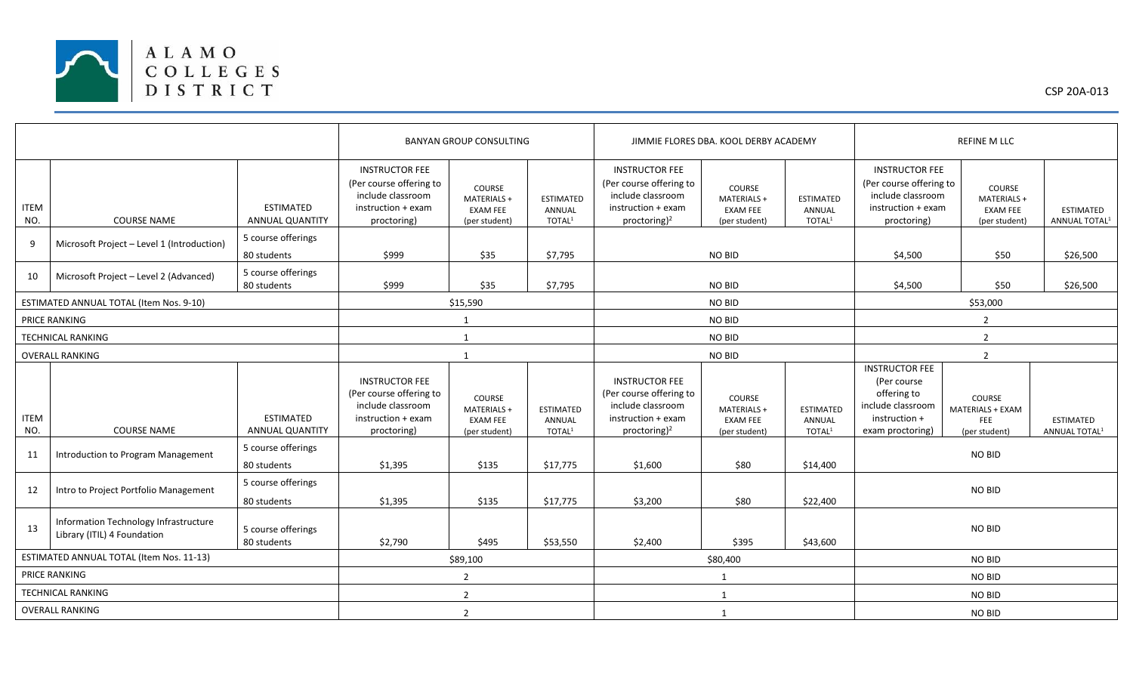

|                                          |                                                                      |                                            | <b>BANYAN GROUP CONSULTING</b>                                                                             |                                                           |                                                  | JIMMIE FLORES DBA. KOOL DERBY ACADEMY                                                                                   |                                                           |                                                  | <b>REFINE M LLC</b>                                                                                           |                                                           |                                               |  |
|------------------------------------------|----------------------------------------------------------------------|--------------------------------------------|------------------------------------------------------------------------------------------------------------|-----------------------------------------------------------|--------------------------------------------------|-------------------------------------------------------------------------------------------------------------------------|-----------------------------------------------------------|--------------------------------------------------|---------------------------------------------------------------------------------------------------------------|-----------------------------------------------------------|-----------------------------------------------|--|
| <b>ITEM</b><br>NO.                       | <b>COURSE NAME</b>                                                   | <b>ESTIMATED</b><br><b>ANNUAL QUANTITY</b> | <b>INSTRUCTOR FEE</b><br>(Per course offering to<br>include classroom<br>instruction + exam<br>proctoring) | COURSE<br>MATERIALS +<br><b>EXAM FEE</b><br>(per student) | <b>ESTIMATED</b><br>ANNUAL<br>TOTAL <sup>1</sup> | <b>INSTRUCTOR FEE</b><br>(Per course offering to<br>include classroom<br>instruction + exam<br>proctoring) <sup>2</sup> | COURSE<br>MATERIALS +<br><b>EXAM FEE</b><br>(per student) | <b>ESTIMATED</b><br>ANNUAL<br>TOTAL <sup>1</sup> | <b>INSTRUCTOR FEE</b><br>(Per course offering to<br>include classroom<br>instruction + exam<br>proctoring)    | COURSE<br>MATERIALS +<br><b>EXAM FEE</b><br>(per student) | <b>ESTIMATED</b><br>ANNUAL TOTAL <sup>1</sup> |  |
| 9                                        | Microsoft Project - Level 1 (Introduction)                           | 5 course offerings<br>80 students          | \$999                                                                                                      | \$35                                                      | \$7,795                                          |                                                                                                                         | NO BID                                                    |                                                  | \$4,500                                                                                                       | \$50                                                      | \$26,500                                      |  |
| 10                                       | Microsoft Project - Level 2 (Advanced)                               | 5 course offerings<br>80 students          | \$999                                                                                                      | \$35                                                      | \$7,795                                          |                                                                                                                         | NO BID                                                    |                                                  | \$50<br>\$26,500<br>\$4,500                                                                                   |                                                           |                                               |  |
| ESTIMATED ANNUAL TOTAL (Item Nos. 9-10)  |                                                                      |                                            | \$15,590                                                                                                   |                                                           |                                                  | NO BID                                                                                                                  |                                                           |                                                  | \$53,000                                                                                                      |                                                           |                                               |  |
| PRICE RANKING                            |                                                                      |                                            | $\mathbf{1}$                                                                                               |                                                           |                                                  | NO BID                                                                                                                  |                                                           |                                                  | $\overline{2}$                                                                                                |                                                           |                                               |  |
| <b>TECHNICAL RANKING</b>                 |                                                                      |                                            | $\mathbf{1}$                                                                                               |                                                           |                                                  | NO BID                                                                                                                  |                                                           |                                                  | $\overline{2}$                                                                                                |                                                           |                                               |  |
| <b>OVERALL RANKING</b>                   |                                                                      |                                            | $\mathbf{1}$                                                                                               |                                                           |                                                  | NO BID                                                                                                                  |                                                           |                                                  | $\overline{2}$                                                                                                |                                                           |                                               |  |
| <b>ITEM</b><br>NO.                       | <b>COURSE NAME</b>                                                   | <b>ESTIMATED</b><br><b>ANNUAL QUANTITY</b> | <b>INSTRUCTOR FEE</b><br>(Per course offering to<br>include classroom<br>instruction + exam<br>proctoring) | COURSE<br>MATERIALS +<br><b>EXAM FEE</b><br>(per student) | <b>ESTIMATED</b><br>ANNUAL<br>TOTAL <sup>1</sup> | <b>INSTRUCTOR FEE</b><br>(Per course offering to<br>include classroom<br>instruction + exam<br>proctoring) <sup>2</sup> | COURSE<br>MATERIALS +<br><b>EXAM FEE</b><br>(per student) | <b>ESTIMATED</b><br>ANNUAL<br>TOTAL <sup>1</sup> | <b>INSTRUCTOR FEE</b><br>(Per course<br>offering to<br>include classroom<br>instruction +<br>exam proctoring) | COURSE<br>MATERIALS + EXAM<br><b>FEE</b><br>(per student) | <b>ESTIMATED</b><br>ANNUAL TOTAL <sup>1</sup> |  |
| 11                                       | Introduction to Program Management                                   | 5 course offerings<br>80 students          | \$1,395                                                                                                    | \$135                                                     | \$17,775                                         | \$1,600                                                                                                                 | \$80                                                      | \$14,400                                         | <b>NO BID</b>                                                                                                 |                                                           |                                               |  |
| 12                                       | Intro to Project Portfolio Management                                | 5 course offerings<br>80 students          | \$1,395                                                                                                    | \$135                                                     | \$17,775                                         | \$3,200                                                                                                                 | \$80                                                      | \$22,400                                         | <b>NO BID</b>                                                                                                 |                                                           |                                               |  |
| 13                                       | Information Technology Infrastructure<br>Library (ITIL) 4 Foundation | 5 course offerings<br>80 students          | \$2,790                                                                                                    | \$495                                                     | \$53,550                                         | \$2,400                                                                                                                 | \$395                                                     | \$43,600                                         | <b>NO BID</b>                                                                                                 |                                                           |                                               |  |
| ESTIMATED ANNUAL TOTAL (Item Nos. 11-13) |                                                                      |                                            | \$89,100                                                                                                   |                                                           |                                                  | \$80,400                                                                                                                |                                                           |                                                  | <b>NO BID</b>                                                                                                 |                                                           |                                               |  |
| PRICE RANKING                            |                                                                      |                                            | $\overline{2}$                                                                                             |                                                           |                                                  | 1                                                                                                                       |                                                           |                                                  | <b>NO BID</b>                                                                                                 |                                                           |                                               |  |
| <b>TECHNICAL RANKING</b>                 |                                                                      |                                            |                                                                                                            | $\overline{2}$                                            |                                                  |                                                                                                                         | 1                                                         |                                                  |                                                                                                               | <b>NO BID</b>                                             |                                               |  |
| <b>OVERALL RANKING</b>                   |                                                                      |                                            | $\overline{2}$                                                                                             |                                                           |                                                  | 1                                                                                                                       |                                                           |                                                  | <b>NO BID</b>                                                                                                 |                                                           |                                               |  |

CSP 20A-013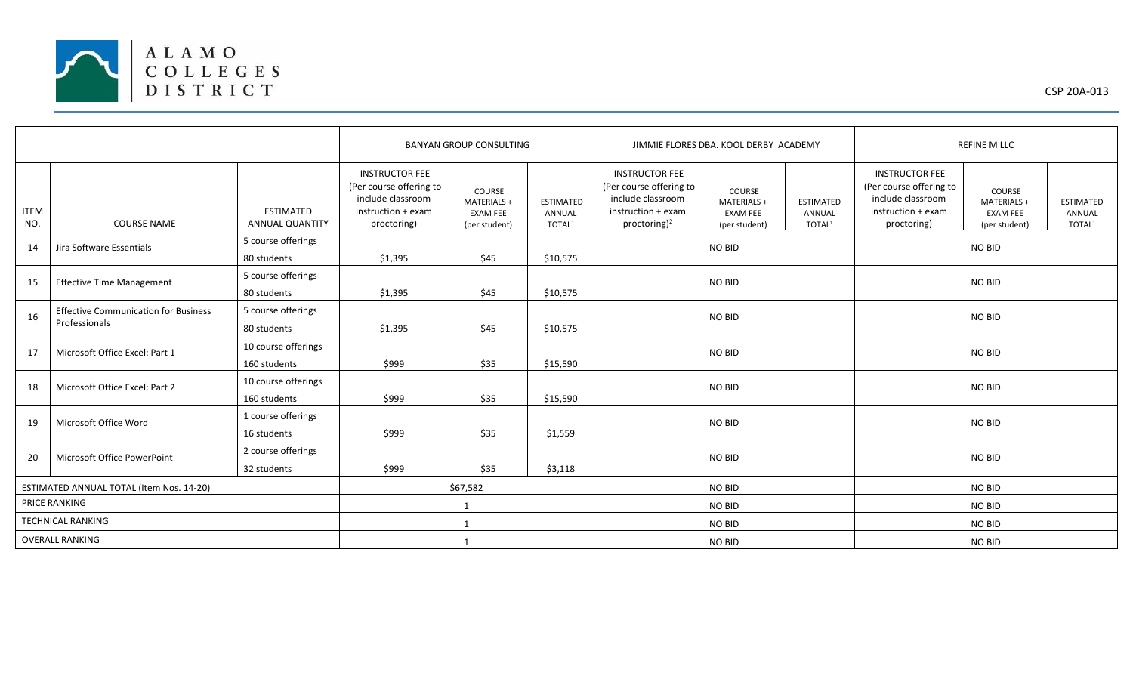

|                                          |                                                              |                                            | <b>BANYAN GROUP CONSULTING</b>                                                                             |                                                           |                                                  | JIMMIE FLORES DBA, KOOL DERBY ACADEMY                                                                                   |                                                           |                                                  | <b>REFINE M LLC</b>                                                                                        |                                                                  |                                                  |
|------------------------------------------|--------------------------------------------------------------|--------------------------------------------|------------------------------------------------------------------------------------------------------------|-----------------------------------------------------------|--------------------------------------------------|-------------------------------------------------------------------------------------------------------------------------|-----------------------------------------------------------|--------------------------------------------------|------------------------------------------------------------------------------------------------------------|------------------------------------------------------------------|--------------------------------------------------|
| <b>ITEM</b><br>NO.                       | <b>COURSE NAME</b>                                           | <b>ESTIMATED</b><br><b>ANNUAL QUANTITY</b> | <b>INSTRUCTOR FEE</b><br>(Per course offering to<br>include classroom<br>instruction + exam<br>proctoring) | COURSE<br>MATERIALS +<br><b>EXAM FEE</b><br>(per student) | <b>ESTIMATED</b><br>ANNUAL<br>TOTAL <sup>1</sup> | <b>INSTRUCTOR FEE</b><br>(Per course offering to<br>include classroom<br>instruction + exam<br>proctoring) <sup>2</sup> | COURSE<br>MATERIALS +<br><b>EXAM FEE</b><br>(per student) | <b>ESTIMATED</b><br>ANNUAL<br>TOTAL <sup>1</sup> | <b>INSTRUCTOR FEE</b><br>(Per course offering to<br>include classroom<br>instruction + exam<br>proctoring) | <b>COURSE</b><br>MATERIALS +<br><b>EXAM FEE</b><br>(per student) | <b>ESTIMATED</b><br>ANNUAL<br>TOTAL <sup>1</sup> |
| 14                                       | Jira Software Essentials                                     | 5 course offerings<br>80 students          | \$1,395                                                                                                    | \$45                                                      | \$10,575                                         | NO BID                                                                                                                  |                                                           |                                                  | <b>NO BID</b>                                                                                              |                                                                  |                                                  |
| 15                                       | <b>Effective Time Management</b>                             | 5 course offerings<br>80 students          | \$1,395                                                                                                    | \$45                                                      | \$10,575                                         | NO BID                                                                                                                  |                                                           |                                                  | <b>NO BID</b>                                                                                              |                                                                  |                                                  |
| 16                                       | <b>Effective Communication for Business</b><br>Professionals | 5 course offerings<br>80 students          | \$1,395                                                                                                    | \$45                                                      | \$10,575                                         | NO BID                                                                                                                  |                                                           |                                                  | NO BID                                                                                                     |                                                                  |                                                  |
| 17                                       | Microsoft Office Excel: Part 1                               | 10 course offerings<br>160 students        | \$999                                                                                                      | \$35                                                      | \$15,590                                         | NO BID                                                                                                                  |                                                           |                                                  | <b>NO BID</b>                                                                                              |                                                                  |                                                  |
| 18                                       | Microsoft Office Excel: Part 2                               | 10 course offerings<br>160 students        | \$999                                                                                                      | \$35                                                      | \$15,590                                         | NO BID                                                                                                                  |                                                           |                                                  | <b>NO BID</b>                                                                                              |                                                                  |                                                  |
| 19                                       | Microsoft Office Word                                        | 1 course offerings<br>16 students          | \$999                                                                                                      | \$35                                                      | \$1,559                                          |                                                                                                                         | NO BID                                                    |                                                  | <b>NO BID</b>                                                                                              |                                                                  |                                                  |
| 20                                       | Microsoft Office PowerPoint                                  | 2 course offerings<br>32 students          | \$999                                                                                                      | \$35                                                      | \$3,118                                          | NO BID                                                                                                                  |                                                           |                                                  | <b>NO BID</b>                                                                                              |                                                                  |                                                  |
| ESTIMATED ANNUAL TOTAL (Item Nos. 14-20) |                                                              |                                            | \$67,582                                                                                                   |                                                           |                                                  | <b>NO BID</b>                                                                                                           |                                                           |                                                  | <b>NO BID</b>                                                                                              |                                                                  |                                                  |
| PRICE RANKING                            |                                                              |                                            | $\mathbf{1}$                                                                                               |                                                           |                                                  | NO BID                                                                                                                  |                                                           |                                                  | <b>NO BID</b>                                                                                              |                                                                  |                                                  |
| <b>TECHNICAL RANKING</b>                 |                                                              |                                            | 1                                                                                                          |                                                           |                                                  | NO BID                                                                                                                  |                                                           |                                                  | <b>NO BID</b>                                                                                              |                                                                  |                                                  |
| <b>OVERALL RANKING</b>                   |                                                              |                                            | 1                                                                                                          |                                                           |                                                  | NO BID                                                                                                                  |                                                           |                                                  | <b>NO BID</b>                                                                                              |                                                                  |                                                  |

CSP 20A-013